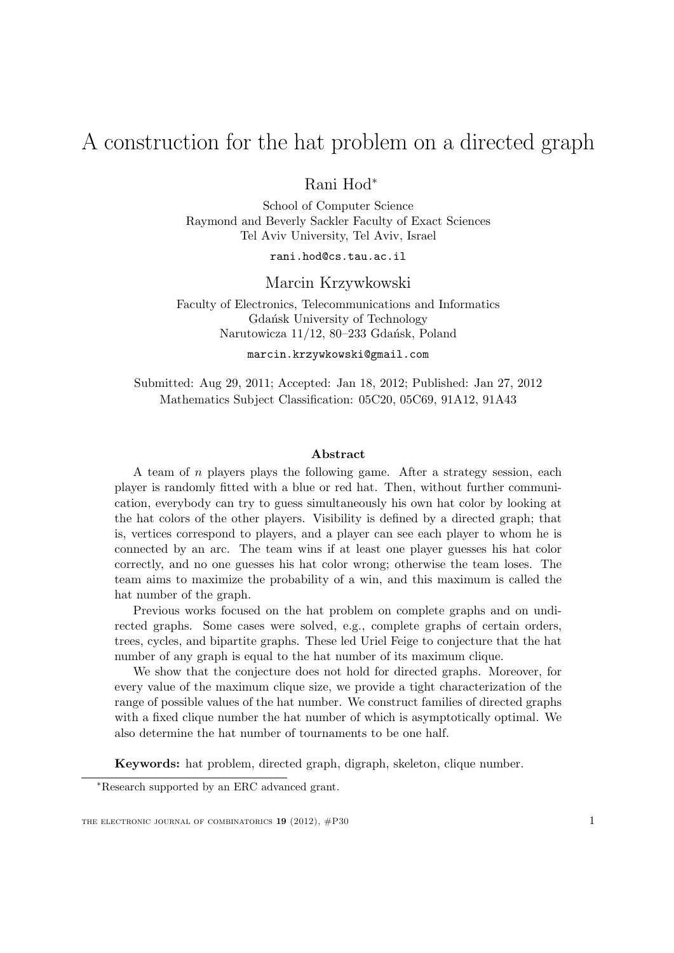# A construction for the hat problem on a directed graph

Rani Hod<sup>∗</sup>

School of Computer Science Raymond and Beverly Sackler Faculty of Exact Sciences Tel Aviv University, Tel Aviv, Israel

rani.hod@cs.tau.ac.il

Marcin Krzywkowski

Faculty of Electronics, Telecommunications and Informatics Gdańsk University of Technology Narutowicza 11/12, 80-233 Gdańsk, Poland

marcin.krzywkowski@gmail.com

Submitted: Aug 29, 2011; Accepted: Jan 18, 2012; Published: Jan 27, 2012 Mathematics Subject Classification: 05C20, 05C69, 91A12, 91A43

#### Abstract

A team of n players plays the following game. After a strategy session, each player is randomly fitted with a blue or red hat. Then, without further communication, everybody can try to guess simultaneously his own hat color by looking at the hat colors of the other players. Visibility is defined by a directed graph; that is, vertices correspond to players, and a player can see each player to whom he is connected by an arc. The team wins if at least one player guesses his hat color correctly, and no one guesses his hat color wrong; otherwise the team loses. The team aims to maximize the probability of a win, and this maximum is called the hat number of the graph.

Previous works focused on the hat problem on complete graphs and on undirected graphs. Some cases were solved, e.g., complete graphs of certain orders, trees, cycles, and bipartite graphs. These led Uriel Feige to conjecture that the hat number of any graph is equal to the hat number of its maximum clique.

We show that the conjecture does not hold for directed graphs. Moreover, for every value of the maximum clique size, we provide a tight characterization of the range of possible values of the hat number. We construct families of directed graphs with a fixed clique number the hat number of which is asymptotically optimal. We also determine the hat number of tournaments to be one half.

Keywords: hat problem, directed graph, digraph, skeleton, clique number.

<sup>∗</sup>Research supported by an ERC advanced grant.

THE ELECTRONIC JOURNAL OF COMBINATORICS  $19$  (2012),  $\#P30$  1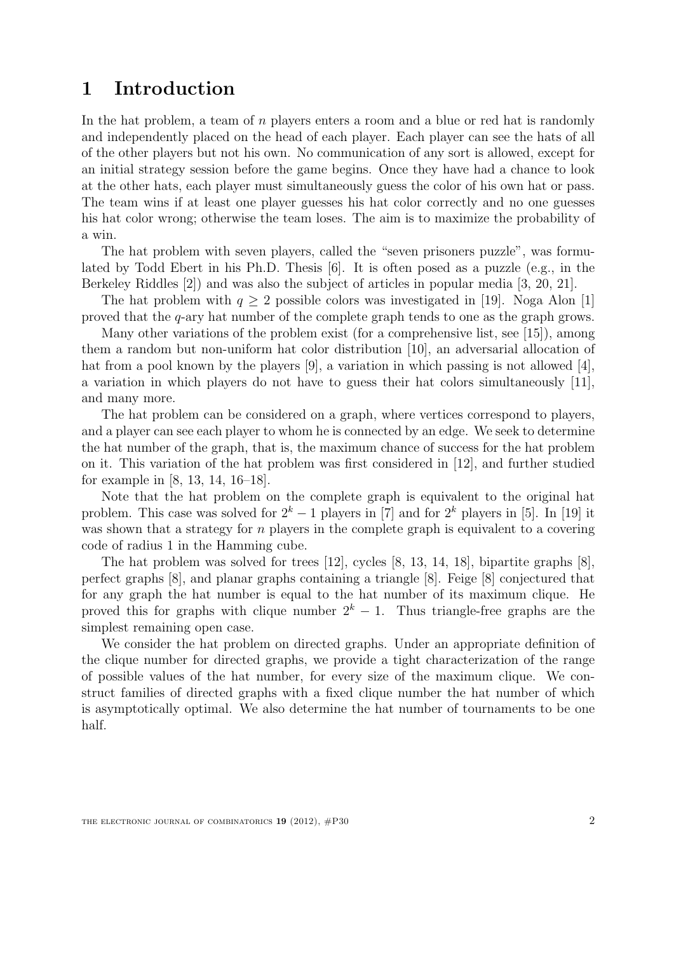### 1 Introduction

In the hat problem, a team of  $n$  players enters a room and a blue or red hat is randomly and independently placed on the head of each player. Each player can see the hats of all of the other players but not his own. No communication of any sort is allowed, except for an initial strategy session before the game begins. Once they have had a chance to look at the other hats, each player must simultaneously guess the color of his own hat or pass. The team wins if at least one player guesses his hat color correctly and no one guesses his hat color wrong; otherwise the team loses. The aim is to maximize the probability of a win.

The hat problem with seven players, called the "seven prisoners puzzle", was formulated by Todd Ebert in his Ph.D. Thesis [6]. It is often posed as a puzzle (e.g., in the Berkeley Riddles [2]) and was also the subject of articles in popular media [3, 20, 21].

The hat problem with  $q \ge 2$  possible colors was investigated in [19]. Noga Alon [1] proved that the q-ary hat number of the complete graph tends to one as the graph grows.

Many other variations of the problem exist (for a comprehensive list, see [15]), among them a random but non-uniform hat color distribution [10], an adversarial allocation of hat from a pool known by the players [9], a variation in which passing is not allowed [4], a variation in which players do not have to guess their hat colors simultaneously [11], and many more.

The hat problem can be considered on a graph, where vertices correspond to players, and a player can see each player to whom he is connected by an edge. We seek to determine the hat number of the graph, that is, the maximum chance of success for the hat problem on it. This variation of the hat problem was first considered in [12], and further studied for example in [8, 13, 14, 16–18].

Note that the hat problem on the complete graph is equivalent to the original hat problem. This case was solved for  $2^k - 1$  players in [7] and for  $2^k$  players in [5]. In [19] it was shown that a strategy for  $n$  players in the complete graph is equivalent to a covering code of radius 1 in the Hamming cube.

The hat problem was solved for trees [12], cycles [8, 13, 14, 18], bipartite graphs [8], perfect graphs [8], and planar graphs containing a triangle [8]. Feige [8] conjectured that for any graph the hat number is equal to the hat number of its maximum clique. He proved this for graphs with clique number  $2<sup>k</sup> - 1$ . Thus triangle-free graphs are the simplest remaining open case.

We consider the hat problem on directed graphs. Under an appropriate definition of the clique number for directed graphs, we provide a tight characterization of the range of possible values of the hat number, for every size of the maximum clique. We construct families of directed graphs with a fixed clique number the hat number of which is asymptotically optimal. We also determine the hat number of tournaments to be one half.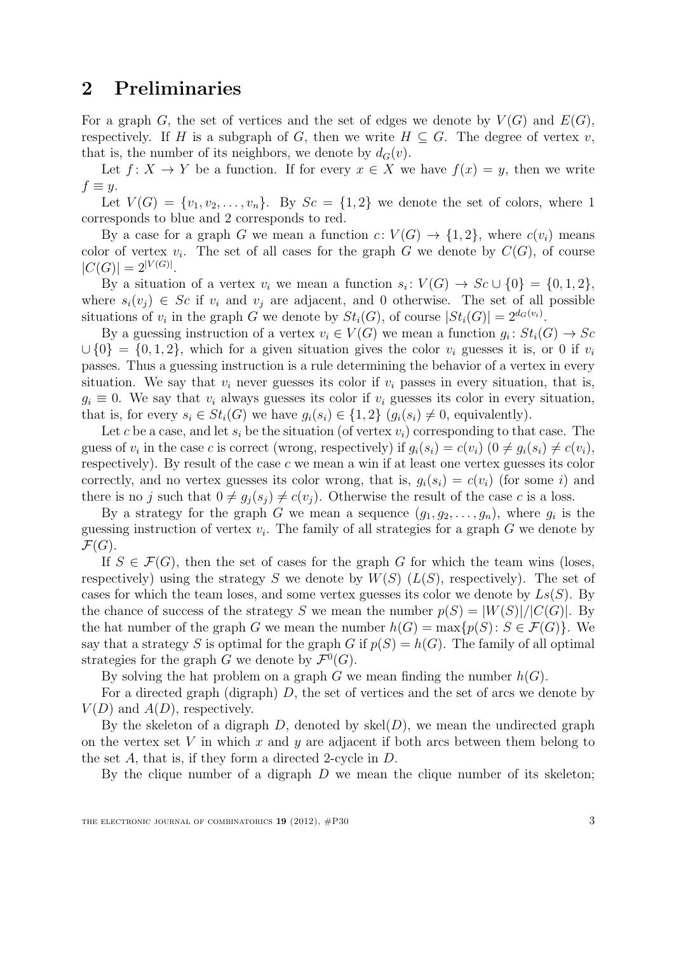### 2 Preliminaries

For a graph G, the set of vertices and the set of edges we denote by  $V(G)$  and  $E(G)$ , respectively. If H is a subgraph of G, then we write  $H \subseteq G$ . The degree of vertex v, that is, the number of its neighbors, we denote by  $d_G(v)$ .

Let  $f: X \to Y$  be a function. If for every  $x \in X$  we have  $f(x) = y$ , then we write  $f \equiv y$ .

Let  $V(G) = \{v_1, v_2, \ldots, v_n\}$ . By  $Sc = \{1, 2\}$  we denote the set of colors, where 1 corresponds to blue and 2 corresponds to red.

By a case for a graph G we mean a function  $c: V(G) \to \{1,2\}$ , where  $c(v_i)$  means color of vertex  $v_i$ . The set of all cases for the graph G we denote by  $C(G)$ , of course  $|C(G)| = 2^{|V(G)|}$ .

By a situation of a vertex  $v_i$  we mean a function  $s_i: V(G) \to Sc \cup \{0\} = \{0,1,2\},\$ where  $s_i(v_j) \in Sc$  if  $v_i$  and  $v_j$  are adjacent, and 0 otherwise. The set of all possible situations of  $v_i$  in the graph G we denote by  $St_i(G)$ , of course  $|St_i(G)| = 2^{d_G(v_i)}$ .

By a guessing instruction of a vertex  $v_i \in V(G)$  we mean a function  $g_i: St_i(G) \to Sc$  $\cup$  {0} = {0, 1, 2}, which for a given situation gives the color  $v_i$  guesses it is, or 0 if  $v_i$ passes. Thus a guessing instruction is a rule determining the behavior of a vertex in every situation. We say that  $v_i$  never guesses its color if  $v_i$  passes in every situation, that is,  $g_i \equiv 0$ . We say that  $v_i$  always guesses its color if  $v_i$  guesses its color in every situation, that is, for every  $s_i \in St_i(G)$  we have  $q_i(s_i) \in \{1,2\}$   $(q_i(s_i) \neq 0$ , equivalently).

Let c be a case, and let  $s_i$  be the situation (of vertex  $v_i$ ) corresponding to that case. The guess of  $v_i$  in the case c is correct (wrong, respectively) if  $g_i(s_i) = c(v_i)$   $(0 \neq g_i(s_i) \neq c(v_i)$ , respectively). By result of the case c we mean a win if at least one vertex guesses its color correctly, and no vertex guesses its color wrong, that is,  $q_i(s_i) = c(v_i)$  (for some i) and there is no j such that  $0 \neq g_i(s_i) \neq c(v_i)$ . Otherwise the result of the case c is a loss.

By a strategy for the graph G we mean a sequence  $(g_1, g_2, \ldots, g_n)$ , where  $g_i$  is the guessing instruction of vertex  $v_i$ . The family of all strategies for a graph  $G$  we denote by  $\mathcal{F}(G)$ .

If  $S \in \mathcal{F}(G)$ , then the set of cases for the graph G for which the team wins (loses, respectively) using the strategy S we denote by  $W(S)$  ( $L(S)$ , respectively). The set of cases for which the team loses, and some vertex guesses its color we denote by  $L_s(S)$ . By the chance of success of the strategy S we mean the number  $p(S) = |W(S)|/|C(G)|$ . By the hat number of the graph G we mean the number  $h(G) = \max\{p(S): S \in \mathcal{F}(G)\}\)$ . We say that a strategy S is optimal for the graph G if  $p(S) = h(G)$ . The family of all optimal strategies for the graph G we denote by  $\mathcal{F}^0(G)$ .

By solving the hat problem on a graph  $G$  we mean finding the number  $h(G)$ .

For a directed graph (digraph)  $D$ , the set of vertices and the set of arcs we denote by  $V(D)$  and  $A(D)$ , respectively.

By the skeleton of a digraph  $D$ , denoted by skel $(D)$ , we mean the undirected graph on the vertex set V in which x and  $y$  are adjacent if both arcs between them belong to the set A, that is, if they form a directed 2-cycle in D.

By the clique number of a digraph  $D$  we mean the clique number of its skeleton;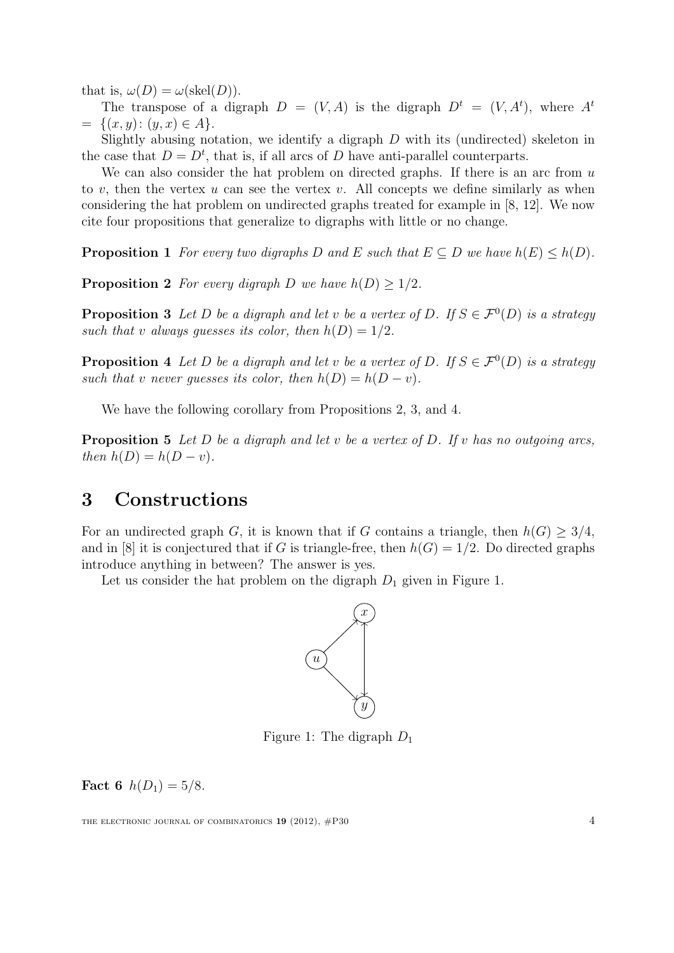that is,  $\omega(D) = \omega(\text{skel}(D)).$ 

The transpose of a digraph  $D = (V, A)$  is the digraph  $D^t = (V, A^t)$ , where  $A^t$  $= \{(x, y): (y, x) \in A\}.$ 

Slightly abusing notation, we identify a digraph  $D$  with its (undirected) skeleton in the case that  $D = D<sup>t</sup>$ , that is, if all arcs of D have anti-parallel counterparts.

We can also consider the hat problem on directed graphs. If there is an arc from  $u$ to v, then the vertex u can see the vertex v. All concepts we define similarly as when considering the hat problem on undirected graphs treated for example in [8, 12]. We now cite four propositions that generalize to digraphs with little or no change.

**Proposition 1** For every two digraphs D and E such that  $E \subseteq D$  we have  $h(E) \leq h(D)$ .

**Proposition 2** For every digraph D we have  $h(D) \geq 1/2$ .

**Proposition 3** Let D be a digraph and let v be a vertex of D. If  $S \in \mathcal{F}^0(D)$  is a strategy such that v always quesses its color, then  $h(D) = 1/2$ .

**Proposition 4** Let D be a digraph and let v be a vertex of D. If  $S \in \mathcal{F}^0(D)$  is a strategy such that v never quesses its color, then  $h(D) = h(D - v)$ .

We have the following corollary from Propositions 2, 3, and 4.

**Proposition 5** Let D be a digraph and let v be a vertex of D. If v has no outgoing arcs, then  $h(D) = h(D - v)$ .

### 3 Constructions

For an undirected graph G, it is known that if G contains a triangle, then  $h(G) \geq 3/4$ , and in [8] it is conjectured that if G is triangle-free, then  $h(G) = 1/2$ . Do directed graphs introduce anything in between? The answer is yes.

Let us consider the hat problem on the digraph  $D_1$  given in Figure 1.



Figure 1: The digraph  $D_1$ 

**Fact 6**  $h(D_1) = 5/8$ .

THE ELECTRONIC JOURNAL OF COMBINATORICS  $19(2012)$ ,  $\#P30$   $4$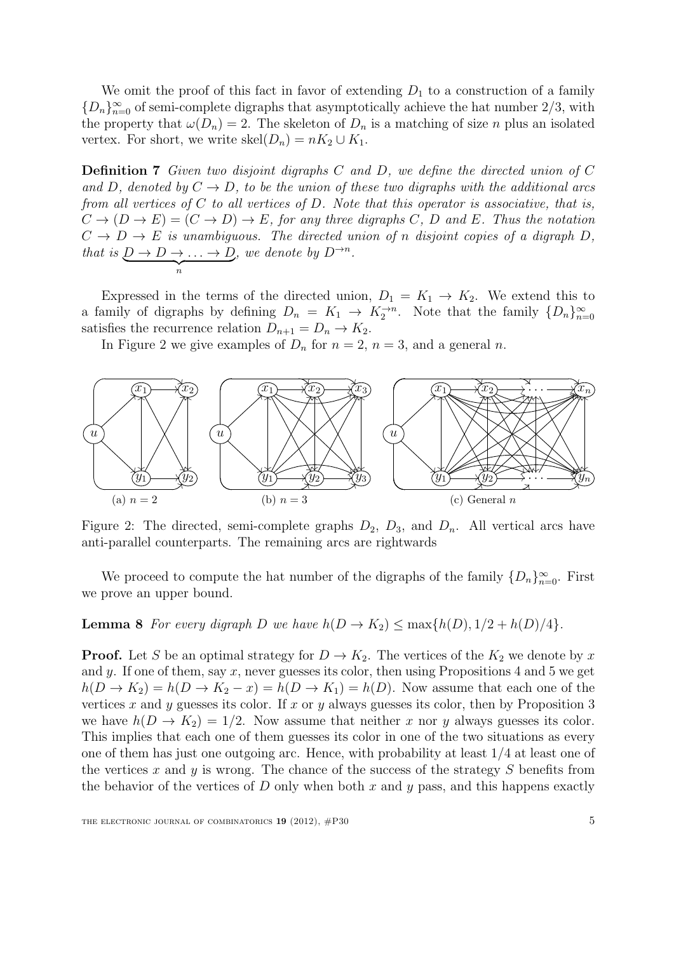We omit the proof of this fact in favor of extending  $D_1$  to a construction of a family  ${D_n}_{n=0}^{\infty}$  of semi-complete digraphs that asymptotically achieve the hat number 2/3, with the property that  $\omega(D_n) = 2$ . The skeleton of  $D_n$  is a matching of size n plus an isolated vertex. For short, we write  $\text{skel}(D_n) = nK_2 \cup K_1$ .

Definition 7 Given two disjoint digraphs C and D, we define the directed union of C and D, denoted by  $C \to D$ , to be the union of these two digraphs with the additional arcs from all vertices of  $C$  to all vertices of  $D$ . Note that this operator is associative, that is,  $C \to (D \to E) = (C \to D) \to E$ , for any three digraphs C, D and E. Thus the notation  $C \to D \to E$  is unambiguous. The directed union of n disjoint copies of a digraph D, that is  $\underbrace{D \to D \to \ldots \to D}_{n}$  $\binom{n}{n}$ , we denote by  $D^{\rightarrow n}$ .

Expressed in the terms of the directed union,  $D_1 = K_1 \rightarrow K_2$ . We extend this to a family of digraphs by defining  $D_n = K_1 \rightarrow K_2^{\rightarrow n}$ . Note that the family  $\{D_n\}_{n=0}^{\infty}$ satisfies the recurrence relation  $D_{n+1} = D_n \rightarrow K_2$ .

In Figure 2 we give examples of  $D_n$  for  $n = 2$ ,  $n = 3$ , and a general n.



Figure 2: The directed, semi-complete graphs  $D_2$ ,  $D_3$ , and  $D_n$ . All vertical arcs have anti-parallel counterparts. The remaining arcs are rightwards

We proceed to compute the hat number of the digraphs of the family  $\{D_n\}_{n=0}^{\infty}$ . First we prove an upper bound.

#### **Lemma 8** For every digraph D we have  $h(D \to K_2) \le \max\{h(D), 1/2 + h(D)/4\}.$

**Proof.** Let S be an optimal strategy for  $D \to K_2$ . The vertices of the  $K_2$  we denote by x and y. If one of them, say x, never guesses its color, then using Propositions 4 and 5 we get  $h(D \to K_2) = h(D \to K_2 - x) = h(D \to K_1) = h(D)$ . Now assume that each one of the vertices x and y guesses its color. If x or y always guesses its color, then by Proposition 3 we have  $h(D \to K_2) = 1/2$ . Now assume that neither x nor y always guesses its color. This implies that each one of them guesses its color in one of the two situations as every one of them has just one outgoing arc. Hence, with probability at least  $1/4$  at least one of the vertices x and y is wrong. The chance of the success of the strategy  $S$  benefits from the behavior of the vertices of D only when both x and  $y$  pass, and this happens exactly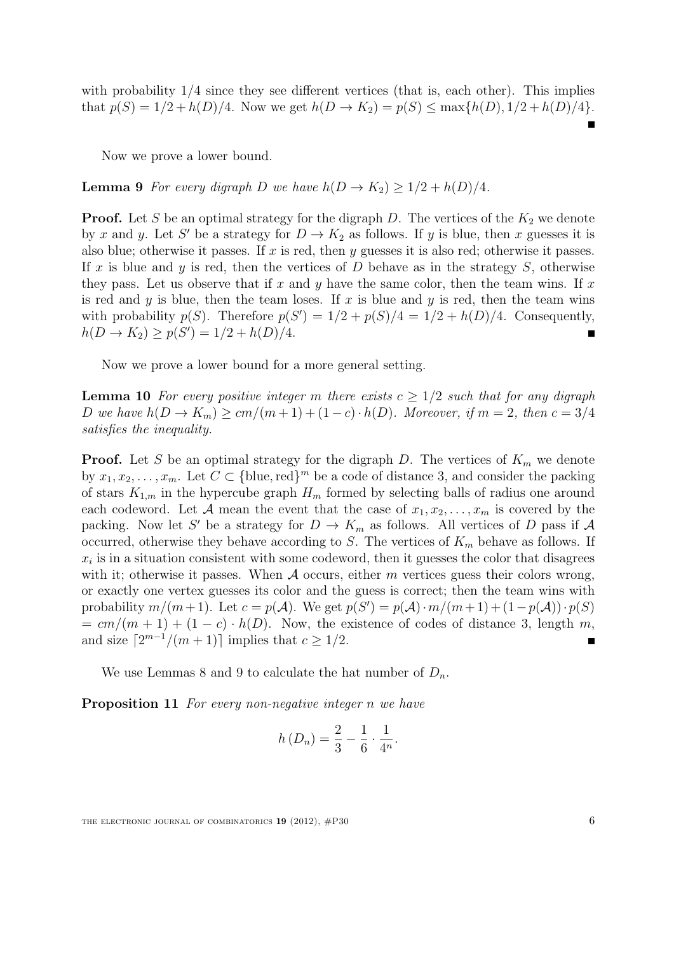with probability  $1/4$  since they see different vertices (that is, each other). This implies that  $p(S) = 1/2 + h(D)/4$ . Now we get  $h(D \to K_2) = p(S) \le \max\{h(D), 1/2 + h(D)/4\}$ .

Now we prove a lower bound.

**Lemma 9** For every digraph D we have  $h(D \to K_2) \geq 1/2 + h(D)/4$ .

**Proof.** Let S be an optimal strategy for the digraph D. The vertices of the  $K_2$  we denote by x and y. Let S' be a strategy for  $D \to K_2$  as follows. If y is blue, then x guesses it is also blue; otherwise it passes. If  $x$  is red, then  $y$  guesses it is also red; otherwise it passes. If x is blue and y is red, then the vertices of  $D$  behave as in the strategy  $S$ , otherwise they pass. Let us observe that if x and y have the same color, then the team wins. If x is red and y is blue, then the team loses. If x is blue and y is red, then the team wins with probability  $p(S)$ . Therefore  $p(S') = 1/2 + p(S)/4 = 1/2 + h(D)/4$ . Consequently,  $h(D \to K_2) \ge p(S') = 1/2 + h(D)/4.$ 

Now we prove a lower bound for a more general setting.

**Lemma 10** For every positive integer m there exists  $c > 1/2$  such that for any digraph D we have  $h(D \to K_m) \ge cm/(m+1) + (1-c) \cdot h(D)$ . Moreover, if  $m = 2$ , then  $c = 3/4$ satisfies the inequality.

**Proof.** Let S be an optimal strategy for the digraph D. The vertices of  $K_m$  we denote by  $x_1, x_2, \ldots, x_m$ . Let  $C \subset \{\text{blue}, \text{red}\}^m$  be a code of distance 3, and consider the packing of stars  $K_{1,m}$  in the hypercube graph  $H_m$  formed by selecting balls of radius one around each codeword. Let A mean the event that the case of  $x_1, x_2, \ldots, x_m$  is covered by the packing. Now let S' be a strategy for  $D \to K_m$  as follows. All vertices of D pass if A occurred, otherwise they behave according to S. The vertices of  $K_m$  behave as follows. If  $x_i$  is in a situation consistent with some codeword, then it guesses the color that disagrees with it; otherwise it passes. When  $A$  occurs, either m vertices guess their colors wrong, or exactly one vertex guesses its color and the guess is correct; then the team wins with probability  $m/(m+1)$ . Let  $c = p(\mathcal{A})$ . We get  $p(S') = p(\mathcal{A}) \cdot m/(m+1) + (1-p(\mathcal{A})) \cdot p(S)$  $= cm/(m + 1) + (1 - c) \cdot h(D)$ . Now, the existence of codes of distance 3, length m, and size  $\lceil 2^{m-1}/(m+1) \rceil$  implies that  $c \geq 1/2$ .

We use Lemmas 8 and 9 to calculate the hat number of  $D_n$ .

Proposition 11 For every non-negative integer n we have

$$
h(D_n) = \frac{2}{3} - \frac{1}{6} \cdot \frac{1}{4^n}.
$$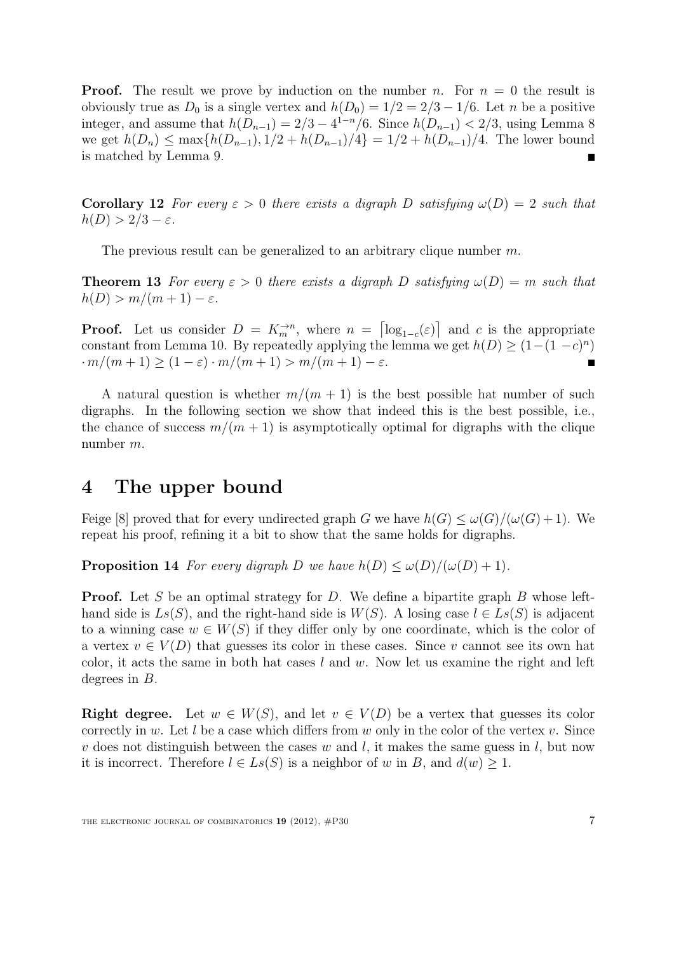**Proof.** The result we prove by induction on the number n. For  $n = 0$  the result is obviously true as  $D_0$  is a single vertex and  $h(D_0) = 1/2 = 2/3 - 1/6$ . Let n be a positive integer, and assume that  $h(D_{n-1}) = 2/3 - 4^{1-n}/6$ . Since  $h(D_{n-1}) < 2/3$ , using Lemma 8 we get  $h(D_n) \le \max\{h(D_{n-1}), 1/2 + h(D_{n-1})/4\} = 1/2 + h(D_{n-1})/4$ . The lower bound is matched by Lemma 9.

Corollary 12 For every  $\varepsilon > 0$  there exists a digraph D satisfying  $\omega(D) = 2$  such that  $h(D) > 2/3 - \varepsilon$ .

The previous result can be generalized to an arbitrary clique number  $m$ .

**Theorem 13** For every  $\varepsilon > 0$  there exists a digraph D satisfying  $\omega(D) = m$  such that  $h(D) > m/(m+1) - \varepsilon$ .

**Proof.** Let us consider  $D = K_m^{\rightarrow n}$ , where  $n = \lceil \log_{1-c}(\varepsilon) \rceil$  and c is the appropriate constant from Lemma 10. By repeatedly applying the lemma we get  $h(D) \geq (1-(1-c)^n)$  $\cdot m/(m+1) \geq (1-\varepsilon) \cdot m/(m+1) > m/(m+1) - \varepsilon.$  $\blacksquare$ 

A natural question is whether  $m/(m + 1)$  is the best possible hat number of such digraphs. In the following section we show that indeed this is the best possible, i.e., the chance of success  $m/(m + 1)$  is asymptotically optimal for digraphs with the clique number m.

### 4 The upper bound

Feige [8] proved that for every undirected graph G we have  $h(G) \leq \omega(G)/(\omega(G)+1)$ . We repeat his proof, refining it a bit to show that the same holds for digraphs.

**Proposition 14** For every digraph D we have  $h(D) \leq \omega(D)/(\omega(D) + 1)$ .

**Proof.** Let S be an optimal strategy for D. We define a bipartite graph B whose lefthand side is  $Ls(S)$ , and the right-hand side is  $W(S)$ . A losing case  $l \in Ls(S)$  is adjacent to a winning case  $w \in W(S)$  if they differ only by one coordinate, which is the color of a vertex  $v \in V(D)$  that guesses its color in these cases. Since v cannot see its own hat color, it acts the same in both hat cases  $l$  and  $w$ . Now let us examine the right and left degrees in B.

**Right degree.** Let  $w \in W(S)$ , and let  $v \in V(D)$  be a vertex that guesses its color correctly in w. Let l be a case which differs from w only in the color of the vertex v. Since v does not distinguish between the cases w and l, it makes the same guess in l, but now it is incorrect. Therefore  $l \in Ls(S)$  is a neighbor of w in B, and  $d(w) \geq 1$ .

THE ELECTRONIC JOURNAL OF COMBINATORICS  $19(2012)$ ,  $#P30$  7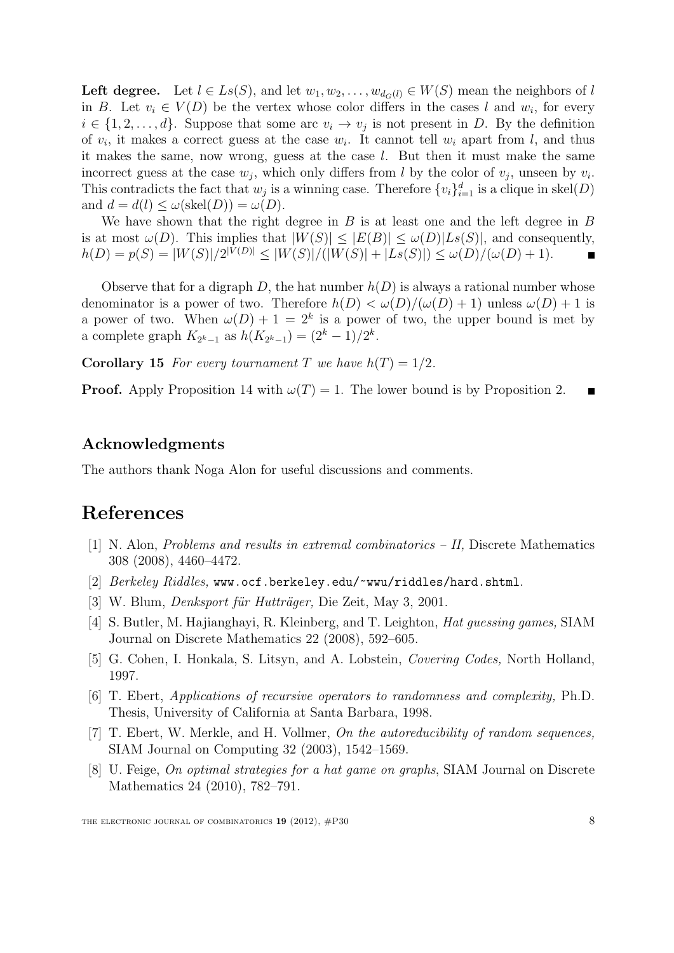Left degree. Let  $l \in Ls(S)$ , and let  $w_1, w_2, \ldots, w_{d_G(l)} \in W(S)$  mean the neighbors of l in B. Let  $v_i \in V(D)$  be the vertex whose color differs in the cases l and  $w_i$ , for every  $i \in \{1, 2, \ldots, d\}$ . Suppose that some arc  $v_i \to v_j$  is not present in D. By the definition of  $v_i$ , it makes a correct guess at the case  $w_i$ . It cannot tell  $w_i$  apart from l, and thus it makes the same, now wrong, guess at the case l. But then it must make the same incorrect guess at the case  $w_j$ , which only differs from l by the color of  $v_j$ , unseen by  $v_i$ . This contradicts the fact that  $w_j$  is a winning case. Therefore  $\{v_i\}_{i=1}^d$  is a clique in skel(D) and  $d = d(l) \leq \omega(\text{skel}(D)) = \omega(D)$ .

We have shown that the right degree in  $B$  is at least one and the left degree in  $B$ is at most  $\omega(D)$ . This implies that  $|W(S)| \leq |E(B)| \leq \omega(D)|Ls(S)|$ , and consequently,  $h(D) = p(S) = |W(S)|/2^{|V(D)|} \leq |W(S)|/(|W(S)| + |Ls(S)|) \leq \omega(D)/(\omega(D) + 1).$ 

Observe that for a digraph D, the hat number  $h(D)$  is always a rational number whose denominator is a power of two. Therefore  $h(D) < \omega(D)/(\omega(D) + 1)$  unless  $\omega(D) + 1$  is a power of two. When  $\omega(D) + 1 = 2^k$  is a power of two, the upper bound is met by a complete graph  $K_{2^{k}-1}$  as  $h(K_{2^{k}-1}) = (2^{k}-1)/2^{k}$ .

**Corollary 15** For every tournament T we have  $h(T) = 1/2$ .

**Proof.** Apply Proposition 14 with  $\omega(T) = 1$ . The lower bound is by Proposition 2.

#### Acknowledgments

The authors thank Noga Alon for useful discussions and comments.

## References

- [1] N. Alon, Problems and results in extremal combinatorics II, Discrete Mathematics 308 (2008), 4460–4472.
- [2] Berkeley Riddles, www.ocf.berkeley.edu/~wwu/riddles/hard.shtml.
- [3] W. Blum, *Denksport für Hutträger*, Die Zeit, May 3, 2001.
- [4] S. Butler, M. Hajianghayi, R. Kleinberg, and T. Leighton, Hat guessing games, SIAM Journal on Discrete Mathematics 22 (2008), 592–605.
- [5] G. Cohen, I. Honkala, S. Litsyn, and A. Lobstein, Covering Codes, North Holland, 1997.
- [6] T. Ebert, Applications of recursive operators to randomness and complexity, Ph.D. Thesis, University of California at Santa Barbara, 1998.
- [7] T. Ebert, W. Merkle, and H. Vollmer, On the autoreducibility of random sequences, SIAM Journal on Computing 32 (2003), 1542–1569.
- [8] U. Feige, On optimal strategies for a hat game on graphs, SIAM Journal on Discrete Mathematics 24 (2010), 782–791.